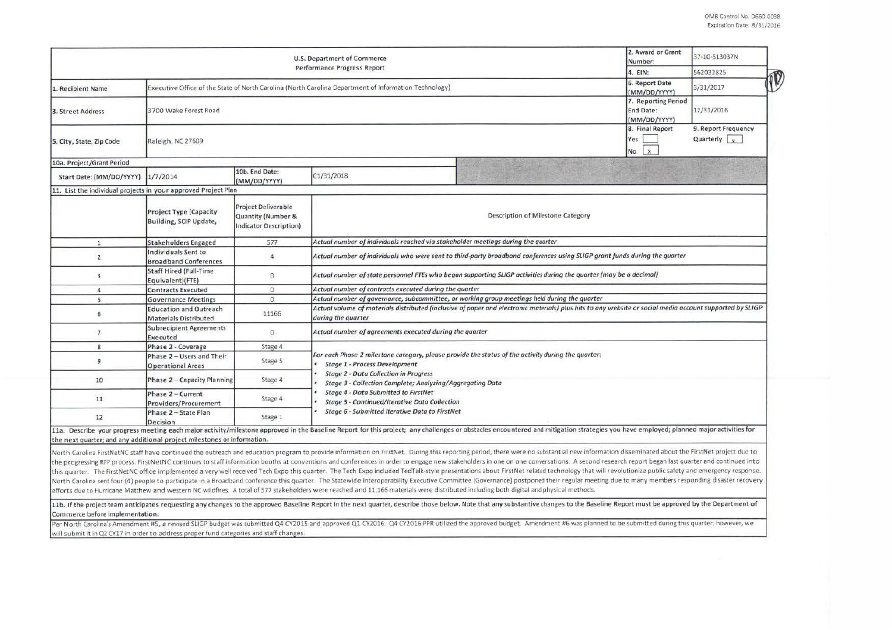|                           | 2. Award or Grant<br>Number:                                                                          | 37-10-S13037N                                                              |                                                                                                                                                                                                                                                                                  |                                                        |  |  |  |  |  |
|---------------------------|-------------------------------------------------------------------------------------------------------|----------------------------------------------------------------------------|----------------------------------------------------------------------------------------------------------------------------------------------------------------------------------------------------------------------------------------------------------------------------------|--------------------------------------------------------|--|--|--|--|--|
|                           | 4. EIN:                                                                                               | 562032825                                                                  |                                                                                                                                                                                                                                                                                  |                                                        |  |  |  |  |  |
| 1. Recipient Name         | Executive Office of the State of North Carolina (North Carolina Department of Information Technology) | 6. Report Date<br>(MM/DD/YYYY)                                             | 3/31/2017                                                                                                                                                                                                                                                                        |                                                        |  |  |  |  |  |
| 3. Street Address         | 3700 Wake Forest Road                                                                                 | 7. Reporting Period<br>End Date:<br>(MM/DD/YYYY)                           | 12/31/2016                                                                                                                                                                                                                                                                       |                                                        |  |  |  |  |  |
| 5. City, State, Zip Code  | Raleigh, NC 27609.                                                                                    |                                                                            | 8. Final Report<br>Yes<br>No<br>$\mathbf{x}$                                                                                                                                                                                                                                     | 9. Report Frequency<br>Quarterly $\sqrt{y}$            |  |  |  |  |  |
| 10a. Project/Grant Period |                                                                                                       |                                                                            |                                                                                                                                                                                                                                                                                  |                                                        |  |  |  |  |  |
| Start Date: (MM/DD/YYYY)  | 1/7/2014                                                                                              | 10b. End Date:<br>(MM/DD/YYYY)                                             | 01/31/2018                                                                                                                                                                                                                                                                       |                                                        |  |  |  |  |  |
|                           | 11. List the individual projects in your approved Project Plan                                        |                                                                            |                                                                                                                                                                                                                                                                                  |                                                        |  |  |  |  |  |
|                           | <b>Project Type (Capacity</b><br>Building, SCIP Update,                                               | <b>Project Deliverable</b><br>Quantity (Number &<br>Indicator Description) | Description of Milestone Category                                                                                                                                                                                                                                                |                                                        |  |  |  |  |  |
| $\mathbf{1}$              | <b>Stakeholders Engaged</b>                                                                           | 577                                                                        | Actual number of individuals reached via stakeholder meetings during the quarter                                                                                                                                                                                                 |                                                        |  |  |  |  |  |
| $\overline{2}$            | Individuals Sent to<br><b>Broadband Conferences</b>                                                   | $\overline{a}$                                                             | Actual number of individuals who were sent to third-party broadband conferences using SLIGP grant funds during the quarter                                                                                                                                                       |                                                        |  |  |  |  |  |
| $\overline{3}$            | <b>Staff Hired (Full-Time</b><br>Equivalent)(FTE)                                                     | $\Omega$                                                                   | Actual number of state personnel FTEs who began supporting SLIGP activities during the quarter (may be a decimal)                                                                                                                                                                |                                                        |  |  |  |  |  |
| $\overline{4}$            | <b>Contracts Executed</b>                                                                             | $\Omega$                                                                   |                                                                                                                                                                                                                                                                                  | Actual number of contracts executed during the quarter |  |  |  |  |  |
| 5                         | <b>Governance Meetings</b>                                                                            | $\overline{0}$                                                             | Actual number of governance, subcommittee, or working group meetings held during the quarter                                                                                                                                                                                     |                                                        |  |  |  |  |  |
| 6                         | <b>Education and Outreach</b><br><b>Materials Distributed</b>                                         | 11166                                                                      | Actual volume of materials distributed (inclusive of paper and electronic materials) plus hits to any website or social media account supported by SLIGP<br>during the quarter                                                                                                   |                                                        |  |  |  |  |  |
| $\overline{7}$            | <b>Subrecipient Agreements</b><br>Executed                                                            | $\Omega$                                                                   | Actual number of agreements executed during the quarter                                                                                                                                                                                                                          |                                                        |  |  |  |  |  |
| 8                         | Phase 2 - Coverage                                                                                    | Stage 4                                                                    |                                                                                                                                                                                                                                                                                  |                                                        |  |  |  |  |  |
| 9                         | Phase 2 - Users and Their<br><b>Operational Areas</b>                                                 | Stage 5                                                                    | For each Phase 2 milestone category, please provide the status of the activity during the quarter:<br>Stage 1 - Process Development<br><b>Stage 2 - Data Collection in Progress</b><br>Stage 3 - Collection Complete; Analyzing/Aggregating Data                                 |                                                        |  |  |  |  |  |
| 10                        | Phase 2 - Capacity Planning                                                                           | Stage 4                                                                    |                                                                                                                                                                                                                                                                                  |                                                        |  |  |  |  |  |
| 11                        | Phase 2 - Current<br>Providers/Procurement                                                            | Stage 4                                                                    | Stage 4 - Data Submitted to FirstNet<br>Stage 5 - Continued/Iterative Data Collection                                                                                                                                                                                            |                                                        |  |  |  |  |  |
| 12                        | Phase 2 - State Plan<br>Decision                                                                      | Stage 1                                                                    | Stage 6 - Submitted Iterative Data to FirstNet<br>11a. Describe your progress meeting each major activity/milestone approved in the Baseline Report for this project; any challenges or obstacles encountered and mitigation strategies you have employed; planned major activit |                                                        |  |  |  |  |  |

North Carolina FirstNetNC staff have continued the outreach and education program to provide information on FirstNet. During this reporting period, there were no substantial new information disseminated about the FirstNet the progressing RFP process. FirstNetNC continues to staff information booths at conventions and conferences in order to engage new stakeholders in one on one conversations. A second research report began last quarter and this quarter. The FirstNetNC office implemented a very well received Tech Expo this quarter. The Tech Expo included TedTalk-style presentations about FirstNet related technology that will revolutionize public safety and em North Carolina sent four (4) people to participate in a Broadband conference this quarter. The Statewide Interoperability Executive Committee (Governance) postponed their regular meeting due to many members responding disa efforts due to Hurricane Matthew and western NC wildfires. A total of 577 stakeholders were reached and 11,166 materials were distributed including both digital and physical methods.

11b. If the project team anticipates requesting any changes to the approved Baseline Report in the next quarter, describe those below. Note that any substantive changes to the Baseline Report must be approved by the Depart Commerce before implementation.

Per North Carolina's Amendment #5, a revised SLIGP budget was submitted Q4 CY2015 and approved Q1 CY2016. Q4 CY2016 PPR utilized the approved budget. Amendment #6 was planned to be submitted during this quarter; however, w will submit it in Q2 CY17 in order to address proper fund categories and staff changes.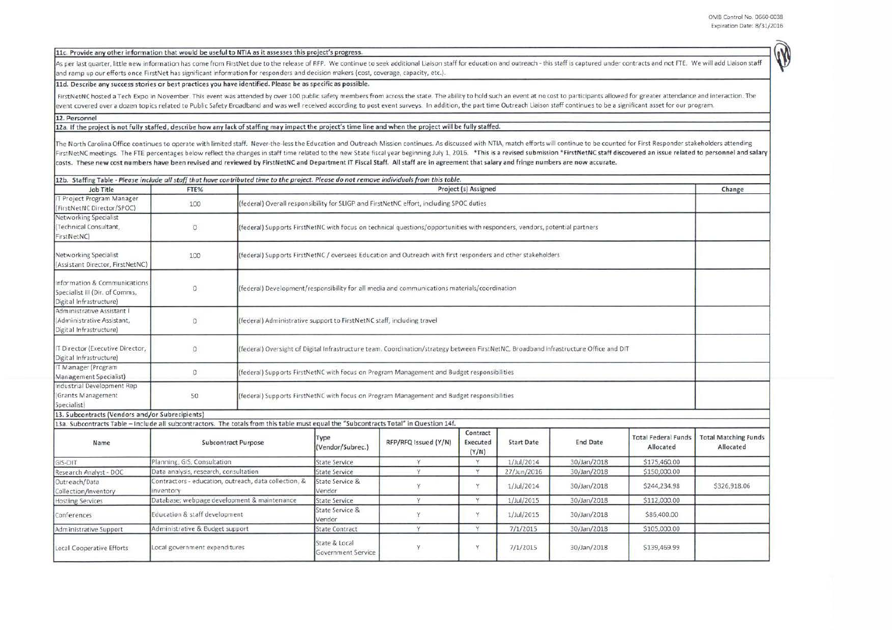[11c. Provide any other information that would be useful to NTIA as it assesses this project's progress.

As per last quarter, little new information has come from FirstNet due to the release of RFP. We continue to seek additional Liaison staff for education and outreach - this staff is captured under contracts and not FTE. We and ramp up our efforts once FirstNet has significant information for responders and decision makers (cost, coverage, capacity, etc.).

## 11d. Describe any success stories or best practices you have identified. Please be as specific as possible.

FirstNetNC hosted a Tech Expo in November. This event was attended by over 100 public safety members from across the state. The ability to hold such an event at no cost to participants allowed for greater attendance and in event covered over a dozen topics related to Public Safety Broadband and was well received according to post event surveys. In addition, the part time Outreach Liaison staff continues to be a significant asset for our prog

## 12. Personnel

12a. If the project is not fully staffed, describe how any lack of staffing may impact the project's time line and when the project will be fully staffed.

The North Carolina Office continues to operate with limited staff. Never-the-less the Education and Outreach Mission continues. As discussed with NTIA, match efforts will continue to be counted for First Responder stakehol FirstNetNC meetings. The FTE percentages below reflect the changes in staff time related to the new State fiscal year beginning July 1, 2016. \* This is a revised submission \*FirstNetNC staff discovered an issue related to costs. These new cost numbers have been revised and reviewed by FirstNetNC and Department IT Fiscal Staff. All staff are in agreement that salary and fringe numbers are now accurate.

| 12b. Staffing Table - Please include all staff that have contributed time to the project. Please do not remove individuals from this table. |                                                                    |                                                                                                                                       |                                                                                                                            |                      |                               |                   |                 |                                         |                                          |  |
|---------------------------------------------------------------------------------------------------------------------------------------------|--------------------------------------------------------------------|---------------------------------------------------------------------------------------------------------------------------------------|----------------------------------------------------------------------------------------------------------------------------|----------------------|-------------------------------|-------------------|-----------------|-----------------------------------------|------------------------------------------|--|
| Job Title                                                                                                                                   | FTE%                                                               | Project (s) Assigned                                                                                                                  |                                                                                                                            |                      |                               |                   |                 |                                         |                                          |  |
| IT Project Program Manager<br>(FirstNetNC Director/SPOC)                                                                                    | 100                                                                |                                                                                                                                       | (federal) Overall responsibility for SLIGP and FirstNetNC effort, including SPOC duties                                    |                      |                               |                   |                 |                                         |                                          |  |
| Networking Specialist<br>(Technical Consultant,<br>FirstNetNC)                                                                              | $\circ$                                                            |                                                                                                                                       | (federal) Supports FirstNetNC with focus on technical questions/opportunities with responders, vendors, potential partners |                      |                               |                   |                 |                                         |                                          |  |
| Networking Specialist<br>(Assistant Director, FirstNetNC)                                                                                   | 100                                                                |                                                                                                                                       | (federal) Supports FirstNetNC / oversees Education and Outreach with first responders and other stakeholders               |                      |                               |                   |                 |                                         |                                          |  |
| Information & Communications<br>Specialist III (Dir. of Comms,<br>Digital Infrastructure)                                                   | $\circ$                                                            | (federal) Development/responsibility for all media and communications materials/coordination                                          |                                                                                                                            |                      |                               |                   |                 |                                         |                                          |  |
| Administrative Assistant I<br>(Administrative Assistant,<br>Digital Infrastructure)                                                         | $\Omega$                                                           |                                                                                                                                       | (federal) Administrative support to FirstNetNC staff, including travel                                                     |                      |                               |                   |                 |                                         |                                          |  |
| IT Director (Executive Director,<br>Digital Infrastructure)                                                                                 | $\circ$                                                            | (federal) Oversight of Digital Infrastructure team. Coordination/strategy between FirstNetNC, Broadband Infrastructure Office and DIT |                                                                                                                            |                      |                               |                   |                 |                                         |                                          |  |
| IT Manager (Program<br>Management Specialist)                                                                                               | $\circ$                                                            |                                                                                                                                       | (federal) Supports FirstNetNC with focus on Program Management and Budget responsibilities                                 |                      |                               |                   |                 |                                         |                                          |  |
| Industrial Development Rep<br>(Grants Management<br>Specialist)                                                                             | 50                                                                 |                                                                                                                                       | (federal) Supports FirstNetNC with focus on Program Management and Budget responsibilities                                 |                      |                               |                   |                 |                                         |                                          |  |
| 13. Subcontracts (Vendors and/or Subrecipients)                                                                                             |                                                                    |                                                                                                                                       |                                                                                                                            |                      |                               |                   |                 |                                         |                                          |  |
| 13a. Subcontracts Table - Include all subcontractors. The totals from this table must equal the "Subcontracts Total" in Question 14f.       |                                                                    |                                                                                                                                       |                                                                                                                            |                      |                               |                   |                 |                                         |                                          |  |
| Name                                                                                                                                        | Subcontract Purpose                                                |                                                                                                                                       | Type<br>(Vendor/Subrec.)                                                                                                   | RFP/RFQ Issued (Y/N) | Contract<br>Executed<br>(Y/N) | <b>Start Date</b> | <b>End Date</b> | <b>Total Federal Funds</b><br>Allocated | <b>Total Matching Funds</b><br>Allocated |  |
| GIS-DIT                                                                                                                                     | Planning, GIS, Consultation                                        |                                                                                                                                       | <b>State Service</b>                                                                                                       | Y                    | Y                             | 1/Jul/2014        | 30/Jan/2018     | \$175,460.00                            |                                          |  |
| Research Analyst - DOC                                                                                                                      | Data analysis, research, consultation                              |                                                                                                                                       | <b>State Service</b>                                                                                                       | γ                    | Y                             | 27/Jun/2016       | 30/Jan/2018     | \$150,000.00                            |                                          |  |
| Outreach/Data<br>Collection/Inventory                                                                                                       | Contractors - education, outreach, data collection, &<br>inventory |                                                                                                                                       | State Service &<br>Vendor                                                                                                  | Y                    | Y                             | 1/Jul/2014        | 30/Jan/2018     | \$244,234.98                            | \$326,918.06                             |  |
| <b>Hosting Services</b>                                                                                                                     | Database; webpage development & maintenance                        |                                                                                                                                       | <b>State Service</b>                                                                                                       | Y                    | Y                             | 1/Jul/2015        | 30/Jan/2018     | \$112,000.00                            |                                          |  |
| Conferences                                                                                                                                 | Education & staff development                                      |                                                                                                                                       | State Service &<br>Vendor                                                                                                  | Y                    | Y                             | $1$ /Jul/2015     | 30/Jan/2018     | \$86,400.00                             |                                          |  |
| Administrative Support                                                                                                                      | Administrative & Budget support                                    |                                                                                                                                       | <b>State Contract</b>                                                                                                      | Y                    | Y                             | 7/1/2015          | 30/Jan/2018     | \$105,000.00                            |                                          |  |
| Local Cooperative Efforts                                                                                                                   | Local government expenditures                                      |                                                                                                                                       | State & Local<br>Government Service                                                                                        | γ                    | Y                             | 7/1/2015          | 30/Jan/2018     | \$139,469.99                            |                                          |  |